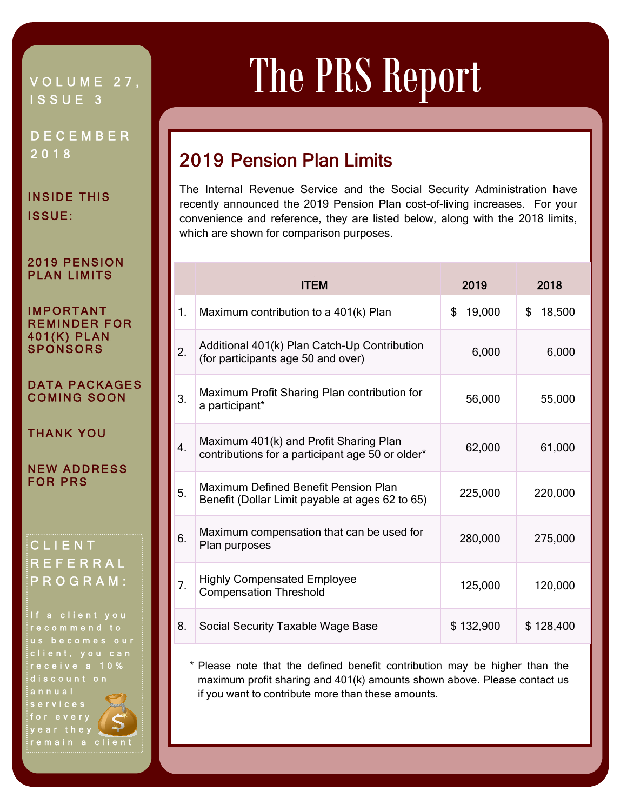## VOLUME 27, ISSUE 3

DECEMBER 2018

INSIDE THIS ISSUE:

#### 2019 PENSION PLAN LIMITS

#### IMPORTANT REMINDER FOR 401(K) PLAN **SPONSORS**

#### DATA PACKAGES COMING SOON

THANK YOU

NEW ADDRESS FOR PRS

### CLIENT REFERRAL PROGRAM:

If a client you recommend to us becomes our client, you can receive a 10% discount on annual services for every year they remain a client

# The PRS Report

# 2019 Pension Plan Limits

The Internal Revenue Service and the Social Security Administration have recently announced the 2019 Pension Plan cost-of-living increases. For your convenience and reference, they are listed below, along with the 2018 limits, which are shown for comparison purposes.

Ī

|    | <b>ITEM</b>                                                                                | 2019         | 2018         |
|----|--------------------------------------------------------------------------------------------|--------------|--------------|
| 1. | Maximum contribution to a 401(k) Plan                                                      | 19,000<br>\$ | \$<br>18,500 |
| 2. | Additional 401(k) Plan Catch-Up Contribution<br>(for participants age 50 and over)         | 6,000        | 6,000        |
| 3. | Maximum Profit Sharing Plan contribution for<br>a participant*                             | 56,000       | 55,000       |
| 4. | Maximum 401(k) and Profit Sharing Plan<br>contributions for a participant age 50 or older* | 62,000       | 61,000       |
| 5. | Maximum Defined Benefit Pension Plan<br>Benefit (Dollar Limit payable at ages 62 to 65)    | 225,000      | 220,000      |
| 6. | Maximum compensation that can be used for<br>Plan purposes                                 | 280,000      | 275,000      |
| 7. | <b>Highly Compensated Employee</b><br><b>Compensation Threshold</b>                        | 125,000      | 120,000      |
| 8. | Social Security Taxable Wage Base                                                          | \$132,900    | \$128,400    |

 \* Please note that the defined benefit contribution may be higher than the maximum profit sharing and 401(k) amounts shown above. Please contact us if you want to contribute more than these amounts.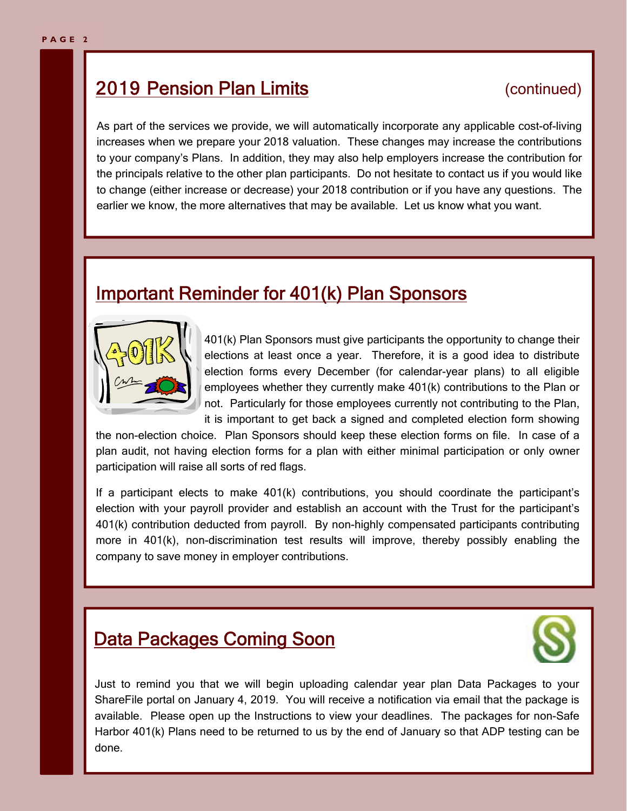# **2019 Pension Plan Limits** (continued)

As part of the services we provide, we will automatically incorporate any applicable cost-of-living increases when we prepare your 2018 valuation. These changes may increase the contributions to your company's Plans. In addition, they may also help employers increase the contribution for the principals relative to the other plan participants. Do not hesitate to contact us if you would like to change (either increase or decrease) your 2018 contribution or if you have any questions. The earlier we know, the more alternatives that may be available. Let us know what you want.

# Important Reminder for 401(k) Plan Sponsors



401(k) Plan Sponsors must give participants the opportunity to change their elections at least once a year. Therefore, it is a good idea to distribute election forms every December (for calendar-year plans) to all eligible employees whether they currently make 401(k) contributions to the Plan or not. Particularly for those employees currently not contributing to the Plan, it is important to get back a signed and completed election form showing

the non-election choice. Plan Sponsors should keep these election forms on file. In case of a plan audit, not having election forms for a plan with either minimal participation or only owner participation will raise all sorts of red flags.

If a participant elects to make 401(k) contributions, you should coordinate the participant's election with your payroll provider and establish an account with the Trust for the participant's 401(k) contribution deducted from payroll. By non-highly compensated participants contributing more in 401(k), non-discrimination test results will improve, thereby possibly enabling the company to save money in employer contributions.

# **Data Packages Coming Soon**



Just to remind you that we will begin uploading calendar year plan Data Packages to your ShareFile portal on January 4, 2019. You will receive a notification via email that the package is available. Please open up the Instructions to view your deadlines. The packages for non-Safe Harbor 401(k) Plans need to be returned to us by the end of January so that ADP testing can be done.